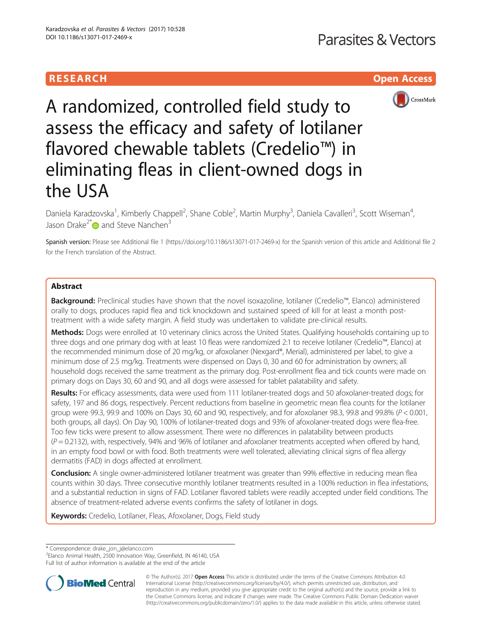# **RESEARCH CHILD CONTROL** CONTROL CONTROL CONTROL CONTROL CONTROL CONTROL CONTROL CONTROL CONTROL CONTROL CONTROL CONTROL CONTROL CONTROL CONTROL CONTROL CONTROL CONTROL CONTROL CONTROL CONTROL CONTROL CONTROL CONTROL CONTR



A randomized, controlled field study to assess the efficacy and safety of lotilaner flavored chewable tablets (Credelio™) in eliminating fleas in client-owned dogs in the USA

Daniela Karadzovska<sup>1</sup>, Kimberly Chappell<sup>2</sup>, Shane Coble<sup>2</sup>, Martin Murphy<sup>3</sup>, Daniela Cavalleri<sup>3</sup>, Scott Wiseman<sup>4</sup> , Jason Drake<sup>2\*</sup> and Steve Nanchen<sup>3</sup>

Spanish version: Please see Additional file [1](#page-7-0) (<https://doi.org/10.1186/s13071-017-2469-x>) for the Spanish version of this article and Additional file [2](#page-7-0) for the French translation of the Abstract.

# Abstract

Background: Preclinical studies have shown that the novel isoxazoline, lotilaner (Credelio™, Elanco) administered orally to dogs, produces rapid flea and tick knockdown and sustained speed of kill for at least a month posttreatment with a wide safety margin. A field study was undertaken to validate pre-clinical results.

Methods: Dogs were enrolled at 10 veterinary clinics across the United States. Qualifying households containing up to three dogs and one primary dog with at least 10 fleas were randomized 2:1 to receive lotilaner (Credelio™, Elanco) at the recommended minimum dose of 20 mg/kg, or afoxolaner (Nexgard®, Merial), administered per label, to give a minimum dose of 2.5 mg/kg. Treatments were dispensed on Days 0, 30 and 60 for administration by owners; all household dogs received the same treatment as the primary dog. Post-enrollment flea and tick counts were made on primary dogs on Days 30, 60 and 90, and all dogs were assessed for tablet palatability and safety.

Results: For efficacy assessments, data were used from 111 lotilaner-treated dogs and 50 afoxolaner-treated dogs; for safety, 197 and 86 dogs, respectively. Percent reductions from baseline in geometric mean flea counts for the lotilaner group were 99.3, 99.9 and 100% on Days 30, 60 and 90, respectively, and for afoxolaner 98.3, 99.8 and 99.8% (P < 0.001, both groups, all days). On Day 90, 100% of lotilaner-treated dogs and 93% of afoxolaner-treated dogs were flea-free. Too few ticks were present to allow assessment. There were no differences in palatability between products  $(P = 0.2132)$ , with, respectively, 94% and 96% of lotilaner and afoxolaner treatments accepted when offered by hand, in an empty food bowl or with food. Both treatments were well tolerated, alleviating clinical signs of flea allergy dermatitis (FAD) in dogs affected at enrollment.

Conclusion: A single owner-administered lotilaner treatment was greater than 99% effective in reducing mean flea counts within 30 days. Three consecutive monthly lotilaner treatments resulted in a 100% reduction in flea infestations, and a substantial reduction in signs of FAD. Lotilaner flavored tablets were readily accepted under field conditions. The absence of treatment-related adverse events confirms the safety of lotilaner in dogs.

Keywords: Credelio, Lotilaner, Fleas, Afoxolaner, Dogs, Field study

\* Correspondence: [drake\\_jon\\_j@elanco.com](mailto:drake_jon_j@elanco.com) <sup>2</sup>

<sup>2</sup>Elanco Animal Health, 2500 Innovation Way, Greenfield, IN 46140, USA Full list of author information is available at the end of the article



© The Author(s). 2017 **Open Access** This article is distributed under the terms of the Creative Commons Attribution 4.0 International License [\(http://creativecommons.org/licenses/by/4.0/](http://creativecommons.org/licenses/by/4.0/)), which permits unrestricted use, distribution, and reproduction in any medium, provided you give appropriate credit to the original author(s) and the source, provide a link to the Creative Commons license, and indicate if changes were made. The Creative Commons Public Domain Dedication waiver [\(http://creativecommons.org/publicdomain/zero/1.0/](http://creativecommons.org/publicdomain/zero/1.0/)) applies to the data made available in this article, unless otherwise stated.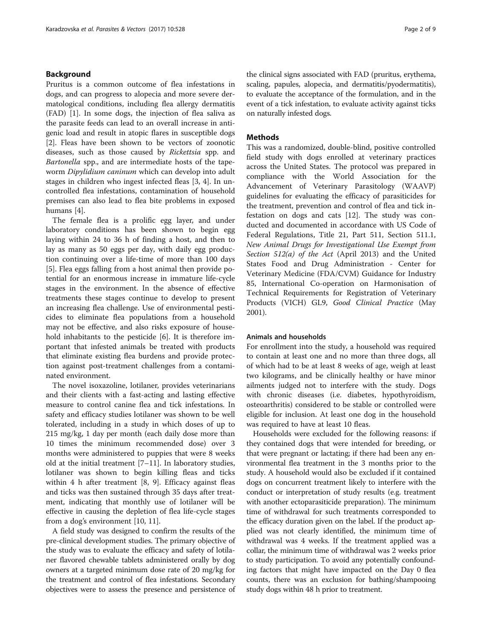# Background

Pruritus is a common outcome of flea infestations in dogs, and can progress to alopecia and more severe dermatological conditions, including flea allergy dermatitis (FAD) [\[1](#page-8-0)]. In some dogs, the injection of flea saliva as the parasite feeds can lead to an overall increase in antigenic load and result in atopic flares in susceptible dogs [[2\]](#page-8-0). Fleas have been shown to be vectors of zoonotic diseases, such as those caused by Rickettsia spp. and Bartonella spp., and are intermediate hosts of the tapeworm Dipylidium caninum which can develop into adult stages in children who ingest infected fleas [\[3](#page-8-0), [4\]](#page-8-0). In uncontrolled flea infestations, contamination of household premises can also lead to flea bite problems in exposed humans [\[4](#page-8-0)].

The female flea is a prolific egg layer, and under laboratory conditions has been shown to begin egg laying within 24 to 36 h of finding a host, and then to lay as many as 50 eggs per day, with daily egg production continuing over a life-time of more than 100 days [[5\]](#page-8-0). Flea eggs falling from a host animal then provide potential for an enormous increase in immature life-cycle stages in the environment. In the absence of effective treatments these stages continue to develop to present an increasing flea challenge. Use of environmental pesticides to eliminate flea populations from a household may not be effective, and also risks exposure of house-hold inhabitants to the pesticide [\[6](#page-8-0)]. It is therefore important that infested animals be treated with products that eliminate existing flea burdens and provide protection against post-treatment challenges from a contaminated environment.

The novel isoxazoline, lotilaner, provides veterinarians and their clients with a fast-acting and lasting effective measure to control canine flea and tick infestations. In safety and efficacy studies lotilaner was shown to be well tolerated, including in a study in which doses of up to 215 mg/kg, 1 day per month (each daily dose more than 10 times the minimum recommended dose) over 3 months were administered to puppies that were 8 weeks old at the initial treatment [\[7](#page-8-0)–[11](#page-8-0)]. In laboratory studies, lotilaner was shown to begin killing fleas and ticks within 4 h after treatment [\[8](#page-8-0), [9\]](#page-8-0). Efficacy against fleas and ticks was then sustained through 35 days after treatment, indicating that monthly use of lotilaner will be effective in causing the depletion of flea life-cycle stages from a dog's environment [\[10](#page-8-0), [11](#page-8-0)].

A field study was designed to confirm the results of the pre-clinical development studies. The primary objective of the study was to evaluate the efficacy and safety of lotilaner flavored chewable tablets administered orally by dog owners at a targeted minimum dose rate of 20 mg/kg for the treatment and control of flea infestations. Secondary objectives were to assess the presence and persistence of the clinical signs associated with FAD (pruritus, erythema, scaling, papules, alopecia, and dermatitis/pyodermatitis), to evaluate the acceptance of the formulation, and in the event of a tick infestation, to evaluate activity against ticks on naturally infested dogs.

## **Methods**

This was a randomized, double-blind, positive controlled field study with dogs enrolled at veterinary practices across the United States. The protocol was prepared in compliance with the World Association for the Advancement of Veterinary Parasitology (WAAVP) guidelines for evaluating the efficacy of parasiticides for the treatment, prevention and control of flea and tick infestation on dogs and cats [\[12\]](#page-8-0). The study was conducted and documented in accordance with US Code of Federal Regulations, Title 21, Part 511, Section 511.1, New Animal Drugs for Investigational Use Exempt from Section  $512(a)$  of the Act (April 2013) and the United States Food and Drug Administration - Center for Veterinary Medicine (FDA/CVM) Guidance for Industry 85, International Co-operation on Harmonisation of Technical Requirements for Registration of Veterinary Products (VICH) GL9, Good Clinical Practice (May 2001).

### Animals and households

For enrollment into the study, a household was required to contain at least one and no more than three dogs, all of which had to be at least 8 weeks of age, weigh at least two kilograms, and be clinically healthy or have minor ailments judged not to interfere with the study. Dogs with chronic diseases (i.e. diabetes, hypothyroidism, osteoarthritis) considered to be stable or controlled were eligible for inclusion. At least one dog in the household was required to have at least 10 fleas.

Households were excluded for the following reasons: if they contained dogs that were intended for breeding, or that were pregnant or lactating; if there had been any environmental flea treatment in the 3 months prior to the study. A household would also be excluded if it contained dogs on concurrent treatment likely to interfere with the conduct or interpretation of study results (e.g. treatment with another ectoparasiticide preparation). The minimum time of withdrawal for such treatments corresponded to the efficacy duration given on the label. If the product applied was not clearly identified, the minimum time of withdrawal was 4 weeks. If the treatment applied was a collar, the minimum time of withdrawal was 2 weeks prior to study participation. To avoid any potentially confounding factors that might have impacted on the Day 0 flea counts, there was an exclusion for bathing/shampooing study dogs within 48 h prior to treatment.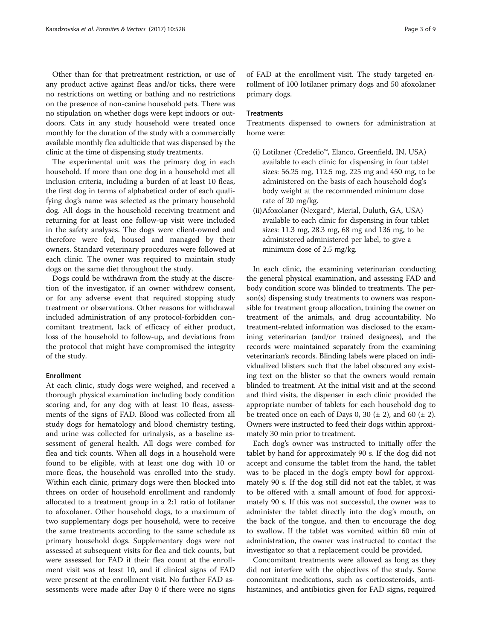Other than for that pretreatment restriction, or use of any product active against fleas and/or ticks, there were no restrictions on wetting or bathing and no restrictions on the presence of non-canine household pets. There was no stipulation on whether dogs were kept indoors or outdoors. Cats in any study household were treated once monthly for the duration of the study with a commercially available monthly flea adulticide that was dispensed by the clinic at the time of dispensing study treatments.

The experimental unit was the primary dog in each household. If more than one dog in a household met all inclusion criteria, including a burden of at least 10 fleas, the first dog in terms of alphabetical order of each qualifying dog's name was selected as the primary household dog. All dogs in the household receiving treatment and returning for at least one follow-up visit were included in the safety analyses. The dogs were client-owned and therefore were fed, housed and managed by their owners. Standard veterinary procedures were followed at each clinic. The owner was required to maintain study dogs on the same diet throughout the study.

Dogs could be withdrawn from the study at the discretion of the investigator, if an owner withdrew consent, or for any adverse event that required stopping study treatment or observations. Other reasons for withdrawal included administration of any protocol-forbidden concomitant treatment, lack of efficacy of either product, loss of the household to follow-up, and deviations from the protocol that might have compromised the integrity of the study.

### Enrollment

At each clinic, study dogs were weighed, and received a thorough physical examination including body condition scoring and, for any dog with at least 10 fleas, assessments of the signs of FAD. Blood was collected from all study dogs for hematology and blood chemistry testing, and urine was collected for urinalysis, as a baseline assessment of general health. All dogs were combed for flea and tick counts. When all dogs in a household were found to be eligible, with at least one dog with 10 or more fleas, the household was enrolled into the study. Within each clinic, primary dogs were then blocked into threes on order of household enrollment and randomly allocated to a treatment group in a 2:1 ratio of lotilaner to afoxolaner. Other household dogs, to a maximum of two supplementary dogs per household, were to receive the same treatments according to the same schedule as primary household dogs. Supplementary dogs were not assessed at subsequent visits for flea and tick counts, but were assessed for FAD if their flea count at the enrollment visit was at least 10, and if clinical signs of FAD were present at the enrollment visit. No further FAD assessments were made after Day 0 if there were no signs of FAD at the enrollment visit. The study targeted enrollment of 100 lotilaner primary dogs and 50 afoxolaner primary dogs.

### **Treatments**

Treatments dispensed to owners for administration at home were:

- (i) Lotilaner (Credelio™, Elanco, Greenfield, IN, USA) available to each clinic for dispensing in four tablet sizes: 56.25 mg, 112.5 mg, 225 mg and 450 mg, to be administered on the basis of each household dog's body weight at the recommended minimum dose rate of 20 mg/kg.
- (ii)Afoxolaner (Nexgard®, Merial, Duluth, GA, USA) available to each clinic for dispensing in four tablet sizes: 11.3 mg, 28.3 mg, 68 mg and 136 mg, to be administered administered per label, to give a minimum dose of 2.5 mg/kg.

In each clinic, the examining veterinarian conducting the general physical examination, and assessing FAD and body condition score was blinded to treatments. The person(s) dispensing study treatments to owners was responsible for treatment group allocation, training the owner on treatment of the animals, and drug accountability. No treatment-related information was disclosed to the examining veterinarian (and/or trained designees), and the records were maintained separately from the examining veterinarian's records. Blinding labels were placed on individualized blisters such that the label obscured any existing text on the blister so that the owners would remain blinded to treatment. At the initial visit and at the second and third visits, the dispenser in each clinic provided the appropriate number of tablets for each household dog to be treated once on each of Days 0, 30  $(\pm 2)$ , and 60  $(\pm 2)$ . Owners were instructed to feed their dogs within approximately 30 min prior to treatment.

Each dog's owner was instructed to initially offer the tablet by hand for approximately 90 s. If the dog did not accept and consume the tablet from the hand, the tablet was to be placed in the dog's empty bowl for approximately 90 s. If the dog still did not eat the tablet, it was to be offered with a small amount of food for approximately 90 s. If this was not successful, the owner was to administer the tablet directly into the dog's mouth, on the back of the tongue, and then to encourage the dog to swallow. If the tablet was vomited within 60 min of administration, the owner was instructed to contact the investigator so that a replacement could be provided.

Concomitant treatments were allowed as long as they did not interfere with the objectives of the study. Some concomitant medications, such as corticosteroids, antihistamines, and antibiotics given for FAD signs, required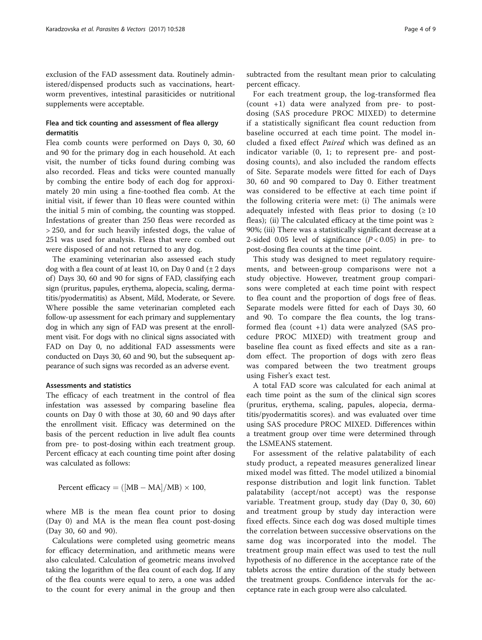exclusion of the FAD assessment data. Routinely administered/dispensed products such as vaccinations, heartworm preventives, intestinal parasiticides or nutritional supplements were acceptable.

# Flea and tick counting and assessment of flea allergy dermatitis

Flea comb counts were performed on Days 0, 30, 60 and 90 for the primary dog in each household. At each visit, the number of ticks found during combing was also recorded. Fleas and ticks were counted manually by combing the entire body of each dog for approximately 20 min using a fine-toothed flea comb. At the initial visit, if fewer than 10 fleas were counted within the initial 5 min of combing, the counting was stopped. Infestations of greater than 250 fleas were recorded as > 250, and for such heavily infested dogs, the value of 251 was used for analysis. Fleas that were combed out were disposed of and not returned to any dog.

The examining veterinarian also assessed each study dog with a flea count of at least 10, on Day 0 and  $(\pm 2$  days of ) Days 30, 60 and 90 for signs of FAD, classifying each sign (pruritus, papules, erythema, alopecia, scaling, dermatitis/pyodermatitis) as Absent, Mild, Moderate, or Severe. Where possible the same veterinarian completed each follow-up assessment for each primary and supplementary dog in which any sign of FAD was present at the enrollment visit. For dogs with no clinical signs associated with FAD on Day 0, no additional FAD assessments were conducted on Days 30, 60 and 90, but the subsequent appearance of such signs was recorded as an adverse event.

### Assessments and statistics

The efficacy of each treatment in the control of flea infestation was assessed by comparing baseline flea counts on Day 0 with those at 30, 60 and 90 days after the enrollment visit. Efficacy was determined on the basis of the percent reduction in live adult flea counts from pre- to post-dosing within each treatment group. Percent efficacy at each counting time point after dosing was calculated as follows:

Percent efficacy  $= ([MB - MA]/MB) \times 100,$ 

where MB is the mean flea count prior to dosing (Day 0) and MA is the mean flea count post-dosing (Day 30, 60 and 90).

Calculations were completed using geometric means for efficacy determination, and arithmetic means were also calculated. Calculation of geometric means involved taking the logarithm of the flea count of each dog. If any of the flea counts were equal to zero, a one was added to the count for every animal in the group and then subtracted from the resultant mean prior to calculating percent efficacy.

For each treatment group, the log-transformed flea (count +1) data were analyzed from pre- to postdosing (SAS procedure PROC MIXED) to determine if a statistically significant flea count reduction from baseline occurred at each time point. The model included a fixed effect Paired which was defined as an indicator variable (0, 1; to represent pre- and postdosing counts), and also included the random effects of Site. Separate models were fitted for each of Days 30, 60 and 90 compared to Day 0. Either treatment was considered to be effective at each time point if the following criteria were met: (i) The animals were adequately infested with fleas prior to dosing  $(≥ 10$ fleas); (ii) The calculated efficacy at the time point was  $\ge$ 90%; (iii) There was a statistically significant decrease at a 2-sided 0.05 level of significance  $(P < 0.05)$  in pre- to post-dosing flea counts at the time point.

This study was designed to meet regulatory requirements, and between-group comparisons were not a study objective. However, treatment group comparisons were completed at each time point with respect to flea count and the proportion of dogs free of fleas. Separate models were fitted for each of Days 30, 60 and 90. To compare the flea counts, the log transformed flea (count +1) data were analyzed (SAS procedure PROC MIXED) with treatment group and baseline flea count as fixed effects and site as a random effect. The proportion of dogs with zero fleas was compared between the two treatment groups using Fisher's exact test.

A total FAD score was calculated for each animal at each time point as the sum of the clinical sign scores (pruritus, erythema, scaling, papules, alopecia, dermatitis/pyodermatitis scores). and was evaluated over time using SAS procedure PROC MIXED. Differences within a treatment group over time were determined through the LSMEANS statement.

For assessment of the relative palatability of each study product, a repeated measures generalized linear mixed model was fitted. The model utilized a binomial response distribution and logit link function. Tablet palatability (accept/not accept) was the response variable. Treatment group, study day (Day 0, 30, 60) and treatment group by study day interaction were fixed effects. Since each dog was dosed multiple times the correlation between successive observations on the same dog was incorporated into the model. The treatment group main effect was used to test the null hypothesis of no difference in the acceptance rate of the tablets across the entire duration of the study between the treatment groups. Confidence intervals for the acceptance rate in each group were also calculated.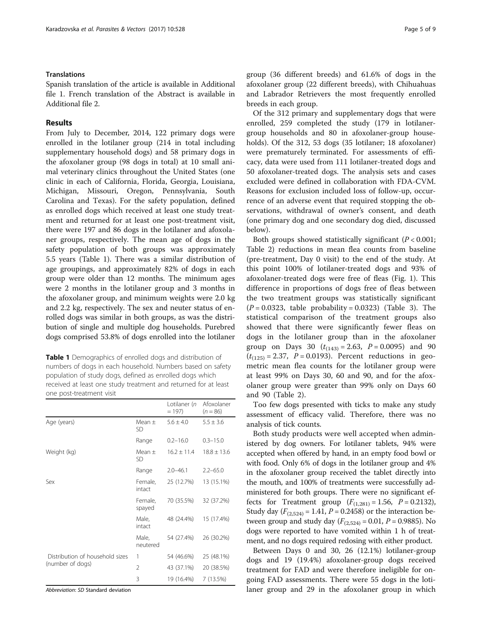## **Translations**

Spanish translation of the article is available in Additional file [1](#page-7-0). French translation of the Abstract is available in Additional file [2](#page-7-0).

# Results

From July to December, 2014, 122 primary dogs were enrolled in the lotilaner group (214 in total including supplementary household dogs) and 58 primary dogs in the afoxolaner group (98 dogs in total) at 10 small animal veterinary clinics throughout the United States (one clinic in each of California, Florida, Georgia, Louisiana, Michigan, Missouri, Oregon, Pennsylvania, South Carolina and Texas). For the safety population, defined as enrolled dogs which received at least one study treatment and returned for at least one post-treatment visit, there were 197 and 86 dogs in the lotilaner and afoxolaner groups, respectively. The mean age of dogs in the safety population of both groups was approximately 5.5 years (Table 1). There was a similar distribution of age groupings, and approximately 82% of dogs in each group were older than 12 months. The minimum ages were 2 months in the lotilaner group and 3 months in the afoxolaner group, and minimum weights were 2.0 kg and 2.2 kg, respectively. The sex and neuter status of enrolled dogs was similar in both groups, as was the distribution of single and multiple dog households. Purebred dogs comprised 53.8% of dogs enrolled into the lotilaner

Table 1 Demographics of enrolled dogs and distribution of numbers of dogs in each household. Numbers based on safety population of study dogs, defined as enrolled dogs which received at least one study treatment and returned for at least one post-treatment visit

|                                 |                   | Lotilaner (n<br>$= 197$ | Afoxolaner<br>$(n = 86)$ |
|---------------------------------|-------------------|-------------------------|--------------------------|
| Age (years)                     | Mean $\pm$<br>SD  | $5.6 + 4.0$             | $5.5 \pm 3.6$            |
|                                 | Range             | $0.2 - 16.0$            | $0.3 - 15.0$             |
| Weight (kg)                     | Mean +<br>SD      | $16.2 \pm 11.4$         | $18.8 + 13.6$            |
|                                 | Range             | $2.0 - 46.1$            | $2.2 - 65.0$             |
| Sex                             | Female,<br>intact | 25 (12.7%)              | 13 (15.1%)               |
|                                 | Female,<br>spayed | 70 (35.5%)              | 32 (37.2%)               |
|                                 | Male,<br>intact   | 48 (24.4%)              | 15 (17.4%)               |
|                                 | Male,<br>neutered | 54 (27.4%)              | 26 (30.2%)               |
| Distribution of household sizes | 1                 | 54 (46.6%)              | 25 (48.1%)               |
| (number of dogs)                | $\mathfrak{D}$    | 43 (37.1%)              | 20 (38.5%)               |
|                                 | 3                 | 19 (16.4%)              | 7 (13.5%)                |

Abbreviation: SD Standard deviation

group (36 different breeds) and 61.6% of dogs in the afoxolaner group (22 different breeds), with Chihuahuas and Labrador Retrievers the most frequently enrolled breeds in each group.

Of the 312 primary and supplementary dogs that were enrolled, 259 completed the study (179 in lotilanergroup households and 80 in afoxolaner-group households). Of the 312, 53 dogs (35 lotilaner; 18 afoxolaner) were prematurely terminated. For assessments of efficacy, data were used from 111 lotilaner-treated dogs and 50 afoxolaner-treated dogs. The analysis sets and cases excluded were defined in collaboration with FDA-CVM. Reasons for exclusion included loss of follow-up, occurrence of an adverse event that required stopping the observations, withdrawal of owner's consent, and death (one primary dog and one secondary dog died, discussed below).

Both groups showed statistically significant  $(P < 0.001$ ; Table [2](#page-5-0)) reductions in mean flea counts from baseline (pre-treatment, Day 0 visit) to the end of the study. At this point 100% of lotilaner-treated dogs and 93% of afoxolaner-treated dogs were free of fleas (Fig. [1\)](#page-5-0). This difference in proportions of dogs free of fleas between the two treatment groups was statistically significant  $(P = 0.0323$ , table probability = 0.0323) (Table [3](#page-5-0)). The statistical comparison of the treatment groups also showed that there were significantly fewer fleas on dogs in the lotilaner group than in the afoxolaner group on Days 30  $(t_{(143)} = 2.63, P = 0.0095)$  and 90  $(t_{(125)} = 2.37, P = 0.0193)$ . Percent reductions in geometric mean flea counts for the lotilaner group were at least 99% on Days 30, 60 and 90, and for the afoxolaner group were greater than 99% only on Days 60 and 90 (Table [2\)](#page-5-0).

Too few dogs presented with ticks to make any study assessment of efficacy valid. Therefore, there was no analysis of tick counts.

Both study products were well accepted when administered by dog owners. For lotilaner tablets, 94% were accepted when offered by hand, in an empty food bowl or with food. Only 6% of dogs in the lotilaner group and 4% in the afoxolaner group received the tablet directly into the mouth, and 100% of treatments were successfully administered for both groups. There were no significant effects for Treatment group  $(F_{(1,281)} = 1.56, P = 0.2132)$ , Study day  $(F_{(2,524)} = 1.41, P = 0.2458)$  or the interaction between group and study day  $(F_{(2,524)} = 0.01, P = 0.9885)$ . No dogs were reported to have vomited within 1 h of treatment, and no dogs required redosing with either product.

Between Days 0 and 30, 26 (12.1%) lotilaner-group dogs and 19 (19.4%) afoxolaner-group dogs received treatment for FAD and were therefore ineligible for ongoing FAD assessments. There were 55 dogs in the lotilaner group and 29 in the afoxolaner group in which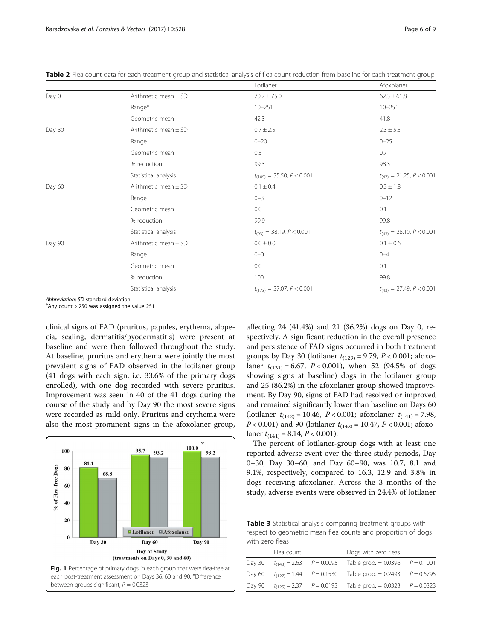<span id="page-5-0"></span>

| Table 2 Flea count data for each treatment group and statistical analysis of flea count reduction from baseline for each treatment group |  |
|------------------------------------------------------------------------------------------------------------------------------------------|--|
|------------------------------------------------------------------------------------------------------------------------------------------|--|

|        |                          | Lotilaner                      | Afoxolaner                    |
|--------|--------------------------|--------------------------------|-------------------------------|
| Day 0  | Arithmetic mean $\pm$ SD | $70.7 \pm 75.0$                | $62.3 \pm 61.8$               |
|        | Range <sup>a</sup>       | $10 - 251$                     | $10 - 251$                    |
|        | Geometric mean           | 42.3                           | 41.8                          |
| Day 30 | Arithmetic mean $\pm$ SD | $0.7 \pm 2.5$                  | $2.3 \pm 5.5$                 |
|        | Range                    | $0 - 20$                       | $0 - 25$                      |
|        | Geometric mean           | 0.3                            | 0.7                           |
|        | % reduction              | 99.3                           | 98.3                          |
|        | Statistical analysis     | $t_{(105)} = 35.50, P < 0.001$ | $t_{(47)} = 21.25, P < 0.001$ |
| Day 60 | Arithmetic mean $\pm$ SD | $0.1 \pm 0.4$                  | $0.3 \pm 1.8$                 |
|        | Range                    | $0 - 3$                        | $0 - 12$                      |
|        | Geometric mean           | 0.0                            | 0.1                           |
|        | % reduction              | 99.9                           | 99.8                          |
|        | Statistical analysis     | $t_{(93)} = 38.19, P < 0.001$  | $t_{(43)} = 28.10, P < 0.001$ |
| Day 90 | Arithmetic mean $\pm$ SD | $0.0 \pm 0.0$                  | $0.1 \pm 0.6$                 |
|        | Range                    | $0 - 0$                        | $0 - 4$                       |
|        | Geometric mean           | 0.0                            | 0.1                           |
|        | % reduction              | 100                            | 99.8                          |
|        | Statistical analysis     | $t_{(173)} = 37.07, P < 0.001$ | $t_{(43)} = 27.49, P < 0.001$ |

Abbreviation: SD standard deviation

 $a$ Any count > 250 was assigned the value 251

clinical signs of FAD (pruritus, papules, erythema, alopecia, scaling, dermatitis/pyodermatitis) were present at baseline and were then followed throughout the study. At baseline, pruritus and erythema were jointly the most prevalent signs of FAD observed in the lotilaner group (41 dogs with each sign, i.e. 33.6% of the primary dogs enrolled), with one dog recorded with severe pruritus. Improvement was seen in 40 of the 41 dogs during the course of the study and by Day 90 the most severe signs were recorded as mild only. Pruritus and erythema were also the most prominent signs in the afoxolaner group,



affecting 24 (41.4%) and 21 (36.2%) dogs on Day 0, respectively. A significant reduction in the overall presence and persistence of FAD signs occurred in both treatment groups by Day 30 (lotilaner  $t_{(129)} = 9.79$ ,  $P < 0.001$ ; afoxolaner  $t_{(131)} = 6.67$ ,  $P < 0.001$ ), when 52 (94.5% of dogs showing signs at baseline) dogs in the lotilaner group and 25 (86.2%) in the afoxolaner group showed improvement. By Day 90, signs of FAD had resolved or improved and remained significantly lower than baseline on Days 60 (lotilaner  $t_{(142)} = 10.46$ ,  $P < 0.001$ ; afoxolaner  $t_{(141)} = 7.98$ ,  $P < 0.001$ ) and 90 (lotilaner  $t_{(142)} = 10.47$ ,  $P < 0.001$ ; afoxolaner  $t_{(141)} = 8.14, P < 0.001$ ).

The percent of lotilaner-group dogs with at least one reported adverse event over the three study periods, Day 0–30, Day 30–60, and Day 60–90, was 10.7, 8.1 and 9.1%, respectively, compared to 16.3, 12.9 and 3.8% in dogs receiving afoxolaner. Across the 3 months of the study, adverse events were observed in 24.4% of lotilaner

Table 3 Statistical analysis comparing treatment groups with respect to geometric mean flea counts and proportion of dogs with zero fleas

| Flea count | Dogs with zero fleas                                                     |  |
|------------|--------------------------------------------------------------------------|--|
|            | Day 30 $t_{(143)} = 2.63$ $P = 0.0095$ Table prob. = 0.0396 $P = 0.1001$ |  |
|            | Day 60 $t_{(127)} = 1.44$ $P = 0.1530$ Table prob. = 0.2493 $P = 0.6795$ |  |
|            | Day 90 $t_{(125)} = 2.37$ $P = 0.0193$ Table prob. = 0.0323 $P = 0.0323$ |  |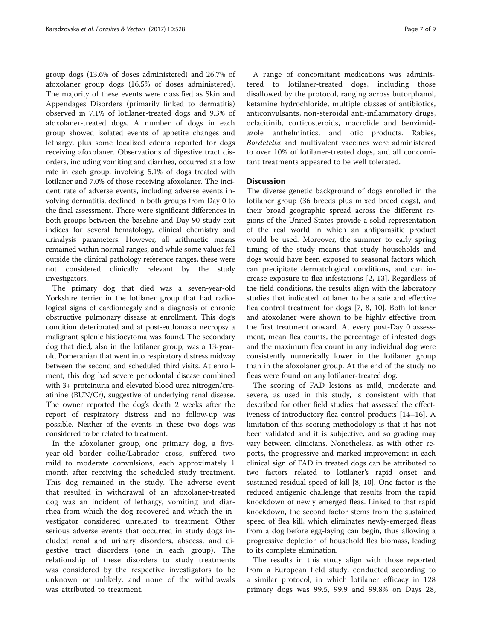group dogs (13.6% of doses administered) and 26.7% of afoxolaner group dogs (16.5% of doses administered). The majority of these events were classified as Skin and Appendages Disorders (primarily linked to dermatitis) observed in 7.1% of lotilaner-treated dogs and 9.3% of afoxolaner-treated dogs. A number of dogs in each group showed isolated events of appetite changes and lethargy, plus some localized edema reported for dogs receiving afoxolaner. Observations of digestive tract disorders, including vomiting and diarrhea, occurred at a low rate in each group, involving 5.1% of dogs treated with lotilaner and 7.0% of those receiving afoxolaner. The incident rate of adverse events, including adverse events involving dermatitis, declined in both groups from Day 0 to the final assessment. There were significant differences in both groups between the baseline and Day 90 study exit indices for several hematology, clinical chemistry and urinalysis parameters. However, all arithmetic means remained within normal ranges, and while some values fell outside the clinical pathology reference ranges, these were not considered clinically relevant by the study investigators.

The primary dog that died was a seven-year-old Yorkshire terrier in the lotilaner group that had radiological signs of cardiomegaly and a diagnosis of chronic obstructive pulmonary disease at enrollment. This dog's condition deteriorated and at post-euthanasia necropsy a malignant splenic histiocytoma was found. The secondary dog that died, also in the lotilaner group, was a 13-yearold Pomeranian that went into respiratory distress midway between the second and scheduled third visits. At enrollment, this dog had severe periodontal disease combined with 3+ proteinuria and elevated blood urea nitrogen/creatinine (BUN/Cr), suggestive of underlying renal disease. The owner reported the dog's death 2 weeks after the report of respiratory distress and no follow-up was possible. Neither of the events in these two dogs was considered to be related to treatment.

In the afoxolaner group, one primary dog, a fiveyear-old border collie/Labrador cross, suffered two mild to moderate convulsions, each approximately 1 month after receiving the scheduled study treatment. This dog remained in the study. The adverse event that resulted in withdrawal of an afoxolaner-treated dog was an incident of lethargy, vomiting and diarrhea from which the dog recovered and which the investigator considered unrelated to treatment. Other serious adverse events that occurred in study dogs included renal and urinary disorders, abscess, and digestive tract disorders (one in each group). The relationship of these disorders to study treatments was considered by the respective investigators to be unknown or unlikely, and none of the withdrawals was attributed to treatment.

A range of concomitant medications was administered to lotilaner-treated dogs, including those disallowed by the protocol, ranging across butorphanol, ketamine hydrochloride, multiple classes of antibiotics, anticonvulsants, non-steroidal anti-inflammatory drugs, oclacitinib, corticosteroids, macrolide and benzimidazole anthelmintics, and otic products. Rabies, Bordetella and multivalent vaccines were administered to over 10% of lotilaner-treated dogs, and all concomitant treatments appeared to be well tolerated.

# **Discussion**

The diverse genetic background of dogs enrolled in the lotilaner group (36 breeds plus mixed breed dogs), and their broad geographic spread across the different regions of the United States provide a solid representation of the real world in which an antiparasitic product would be used. Moreover, the summer to early spring timing of the study means that study households and dogs would have been exposed to seasonal factors which can precipitate dermatological conditions, and can increase exposure to flea infestations [\[2](#page-8-0), [13\]](#page-8-0). Regardless of the field conditions, the results align with the laboratory studies that indicated lotilaner to be a safe and effective flea control treatment for dogs [[7, 8, 10](#page-8-0)]. Both lotilaner and afoxolaner were shown to be highly effective from the first treatment onward. At every post-Day 0 assessment, mean flea counts, the percentage of infested dogs and the maximum flea count in any individual dog were consistently numerically lower in the lotilaner group than in the afoxolaner group. At the end of the study no fleas were found on any lotilaner-treated dog.

The scoring of FAD lesions as mild, moderate and severe, as used in this study, is consistent with that described for other field studies that assessed the effectiveness of introductory flea control products [\[14](#page-8-0)–[16\]](#page-8-0). A limitation of this scoring methodology is that it has not been validated and it is subjective, and so grading may vary between clinicians. Nonetheless, as with other reports, the progressive and marked improvement in each clinical sign of FAD in treated dogs can be attributed to two factors related to lotilaner's rapid onset and sustained residual speed of kill [[8, 10](#page-8-0)]. One factor is the reduced antigenic challenge that results from the rapid knockdown of newly emerged fleas. Linked to that rapid knockdown, the second factor stems from the sustained speed of flea kill, which eliminates newly-emerged fleas from a dog before egg-laying can begin, thus allowing a progressive depletion of household flea biomass, leading to its complete elimination.

The results in this study align with those reported from a European field study, conducted according to a similar protocol, in which lotilaner efficacy in 128 primary dogs was 99.5, 99.9 and 99.8% on Days 28,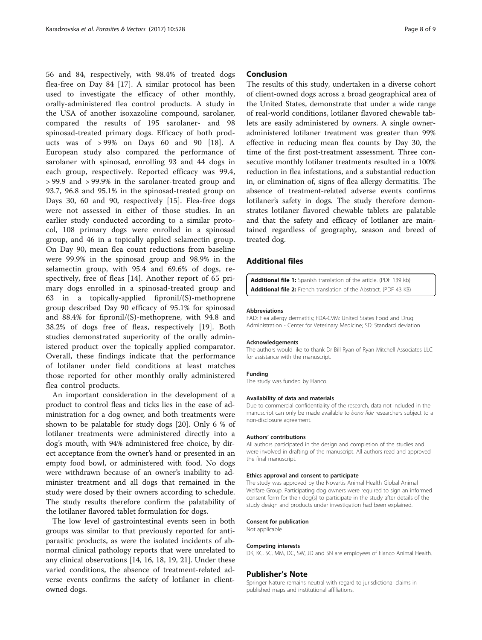<span id="page-7-0"></span>56 and 84, respectively, with 98.4% of treated dogs flea-free on Day 84 [[17\]](#page-8-0). A similar protocol has been used to investigate the efficacy of other monthly, orally-administered flea control products. A study in the USA of another isoxazoline compound, sarolaner, compared the results of 195 sarolaner- and 98 spinosad-treated primary dogs. Efficacy of both products was of > 99% on Days 60 and 90 [\[18](#page-8-0)]. A European study also compared the performance of sarolaner with spinosad, enrolling 93 and 44 dogs in each group, respectively. Reported efficacy was 99.4, > 99.9 and > 99.9% in the sarolaner-treated group and 93.7, 96.8 and 95.1% in the spinosad-treated group on Days 30, 60 and 90, respectively [\[15](#page-8-0)]. Flea-free dogs were not assessed in either of those studies. In an earlier study conducted according to a similar protocol, 108 primary dogs were enrolled in a spinosad group, and 46 in a topically applied selamectin group. On Day 90, mean flea count reductions from baseline were 99.9% in the spinosad group and 98.9% in the selamectin group, with 95.4 and 69.6% of dogs, respectively, free of fleas [[14](#page-8-0)]. Another report of 65 primary dogs enrolled in a spinosad-treated group and 63 in a topically-applied fipronil/(S)-methoprene group described Day 90 efficacy of 95.1% for spinosad and 88.4% for fipronil/(S)-methoprene, with 94.8 and 38.2% of dogs free of fleas, respectively [[19](#page-8-0)]. Both studies demonstrated superiority of the orally administered product over the topically applied comparator. Overall, these findings indicate that the performance of lotilaner under field conditions at least matches those reported for other monthly orally administered flea control products.

An important consideration in the development of a product to control fleas and ticks lies in the ease of administration for a dog owner, and both treatments were shown to be palatable for study dogs [\[20\]](#page-8-0). Only 6 % of lotilaner treatments were administered directly into a dog's mouth, with 94% administered free choice, by direct acceptance from the owner's hand or presented in an empty food bowl, or administered with food. No dogs were withdrawn because of an owner's inability to administer treatment and all dogs that remained in the study were dosed by their owners according to schedule. The study results therefore confirm the palatability of the lotilaner flavored tablet formulation for dogs.

The low level of gastrointestinal events seen in both groups was similar to that previously reported for antiparasitic products, as were the isolated incidents of abnormal clinical pathology reports that were unrelated to any clinical observations [\[14, 16, 18, 19, 21](#page-8-0)]. Under these varied conditions, the absence of treatment-related adverse events confirms the safety of lotilaner in clientowned dogs.

# Conclusion

The results of this study, undertaken in a diverse cohort of client-owned dogs across a broad geographical area of the United States, demonstrate that under a wide range of real-world conditions, lotilaner flavored chewable tablets are easily administered by owners. A single owneradministered lotilaner treatment was greater than 99% effective in reducing mean flea counts by Day 30, the time of the first post-treatment assessment. Three consecutive monthly lotilaner treatments resulted in a 100% reduction in flea infestations, and a substantial reduction in, or elimination of, signs of flea allergy dermatitis. The absence of treatment-related adverse events confirms lotilaner's safety in dogs. The study therefore demonstrates lotilaner flavored chewable tablets are palatable and that the safety and efficacy of lotilaner are maintained regardless of geography, season and breed of treated dog.

# Additional files

[Additional file 1:](dx.doi.org/10.1186/s13071-017-2469-x) Spanish translation of the article. (PDF 139 kb) [Additional file 2:](dx.doi.org/10.1186/s13071-017-2469-x) French translation of the Abstract. (PDF 43 KB)

#### Abbreviations

FAD: Flea allergy dermatitis; FDA-CVM: United States Food and Drug Administration - Center for Veterinary Medicine; SD: Standard deviation

### Acknowledgements

The authors would like to thank Dr Bill Ryan of Ryan Mitchell Associates LLC for assistance with the manuscript.

#### Funding

The study was funded by Elanco.

### Availability of data and materials

Due to commercial confidentiality of the research, data not included in the manuscript can only be made available to bona fide researchers subject to a non-disclosure agreement.

### Authors' contributions

All authors participated in the design and completion of the studies and were involved in drafting of the manuscript. All authors read and approved the final manuscript.

### Ethics approval and consent to participate

The study was approved by the Novartis Animal Health Global Animal Welfare Group. Participating dog owners were required to sign an informed consent form for their dog(s) to participate in the study after details of the study design and products under investigation had been explained.

#### Consent for publication

Not applicable

### Competing interests

DK, KC, SC, MM, DC, SW, JD and SN are employees of Elanco Animal Health.

### Publisher's Note

Springer Nature remains neutral with regard to jurisdictional claims in published maps and institutional affiliations.